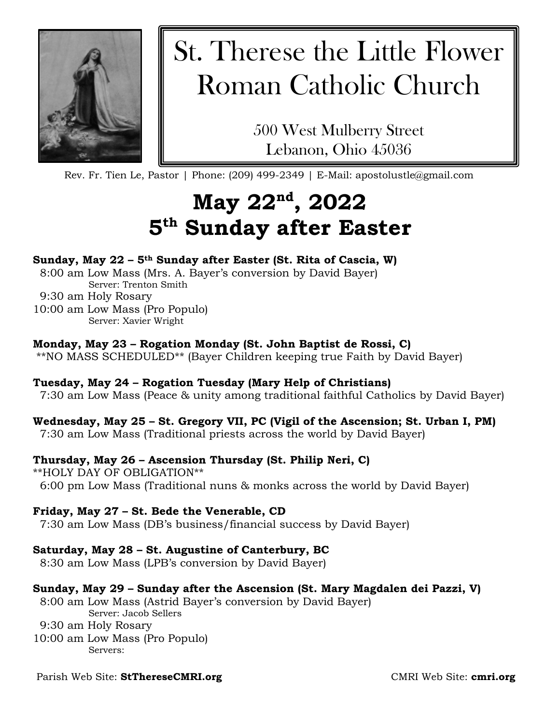

# St. Therese the Little Flower Roman Catholic Church

500 West Mulberry Street Lebanon, Ohio 45036

Rev. Fr. Tien Le, Pastor | Phone: (209) 499-2349 | E-Mail: apostolustle@gmail.com

## **May 22nd, 2022 5th Sunday after Easter**

#### **Sunday, May 22 – 5th Sunday after Easter (St. Rita of Cascia, W)**

8:00 am Low Mass (Mrs. A. Bayer's conversion by David Bayer) Server: Trenton Smith

9:30 am Holy Rosary

10:00 am Low Mass (Pro Populo) Server: Xavier Wright

#### **Monday, May 23 – Rogation Monday (St. John Baptist de Rossi, C)**

\*\*NO MASS SCHEDULED\*\* (Bayer Children keeping true Faith by David Bayer)

#### **Tuesday, May 24 – Rogation Tuesday (Mary Help of Christians)**

7:30 am Low Mass (Peace & unity among traditional faithful Catholics by David Bayer)

#### **Wednesday, May 25 – St. Gregory VII, PC (Vigil of the Ascension; St. Urban I, PM)**

7:30 am Low Mass (Traditional priests across the world by David Bayer)

#### **Thursday, May 26 – Ascension Thursday (St. Philip Neri, C)**

\*\*HOLY DAY OF OBLIGATION\*\* 6:00 pm Low Mass (Traditional nuns & monks across the world by David Bayer)

#### **Friday, May 27 – St. Bede the Venerable, CD**

7:30 am Low Mass (DB's business/financial success by David Bayer)

#### **Saturday, May 28 – St. Augustine of Canterbury, BC**

8:30 am Low Mass (LPB's conversion by David Bayer)

#### **Sunday, May 29 – Sunday after the Ascension (St. Mary Magdalen dei Pazzi, V)**

8:00 am Low Mass (Astrid Bayer's conversion by David Bayer) Server: Jacob Sellers

9:30 am Holy Rosary

10:00 am Low Mass (Pro Populo) Servers:

#### Parish Web Site: **StThereseCMRI.org**